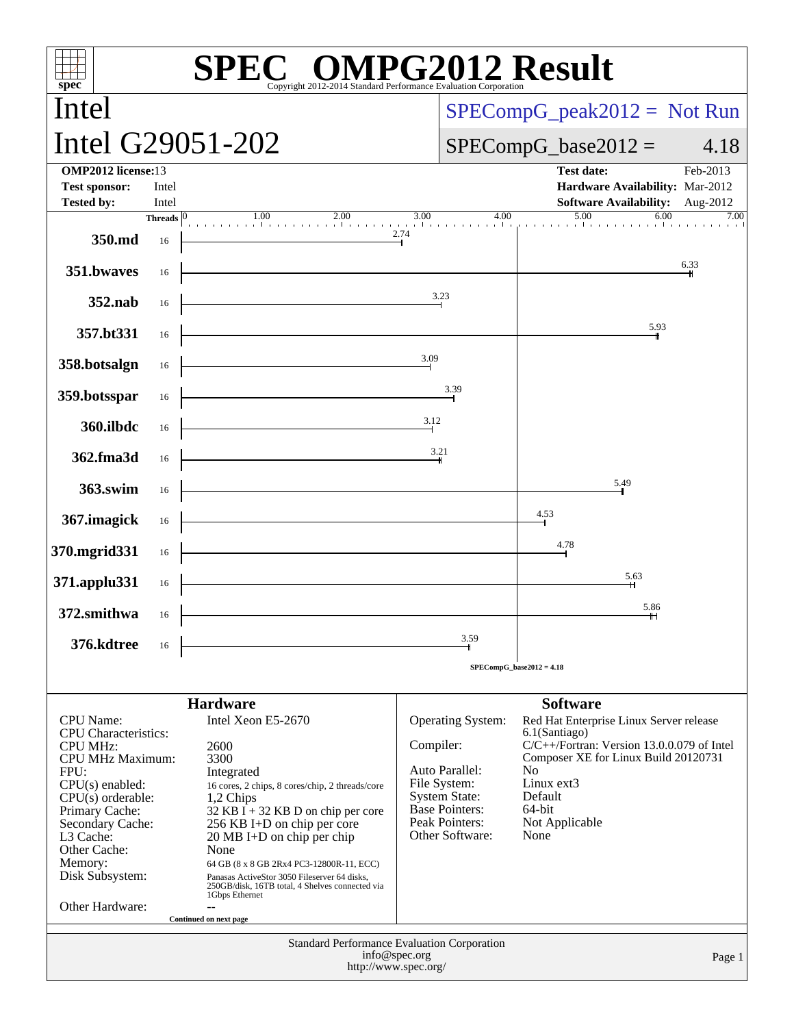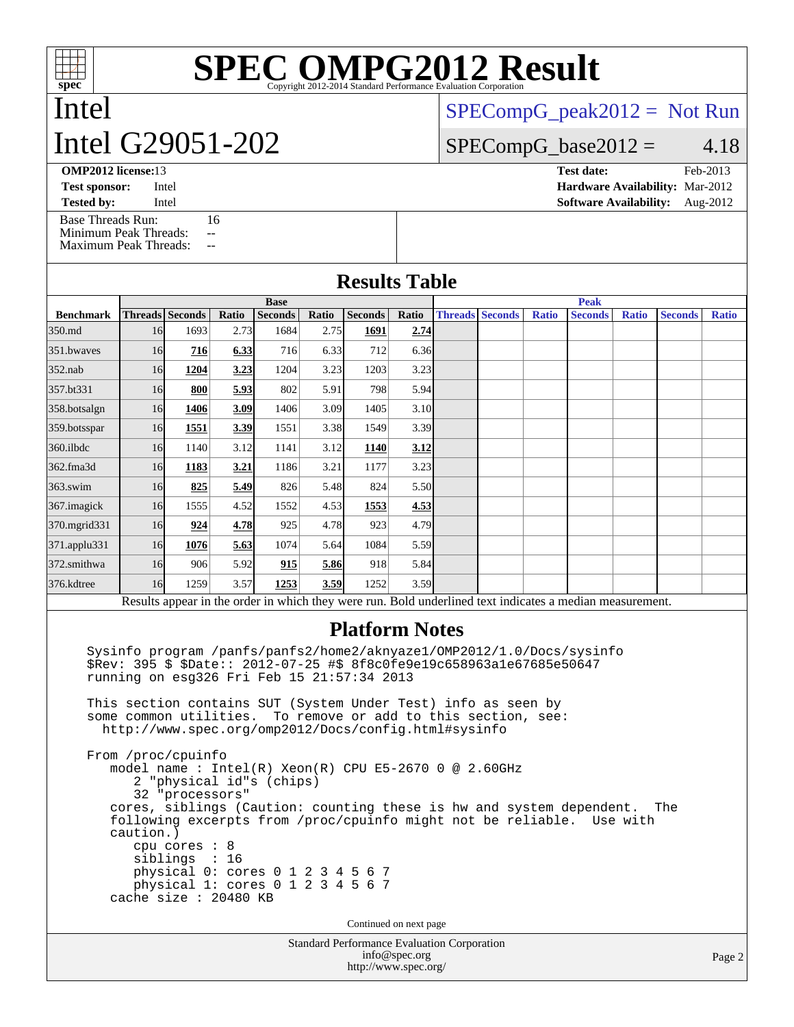Intel

# **[SPEC OMPG2012 Result](http://www.spec.org/auto/omp2012/Docs/result-fields.html#SPECOMPG2012Result)**

## Intel G29051-202

 $SPECompG_peak2012 = Not Run$  $SPECompG_peak2012 = Not Run$ 

### $SPECompG_base2012 = 4.18$  $SPECompG_base2012 = 4.18$

[Base Threads Run:](http://www.spec.org/auto/omp2012/Docs/result-fields.html#BaseThreadsRun) 16 [Minimum Peak Threads:](http://www.spec.org/auto/omp2012/Docs/result-fields.html#MinimumPeakThreads) --

[Maximum Peak Threads:](http://www.spec.org/auto/omp2012/Docs/result-fields.html#MaximumPeakThreads) --

| <b>OMP2012 license:13</b> |       | <b>Test date:</b>                      | Feb-2013 |
|---------------------------|-------|----------------------------------------|----------|
| <b>Test sponsor:</b>      | Intel | <b>Hardware Availability: Mar-2012</b> |          |
| <b>Tested by:</b>         | Intel | <b>Software Availability:</b> Aug-2012 |          |

### **[Results Table](http://www.spec.org/auto/omp2012/Docs/result-fields.html#ResultsTable)**

|                                                                                                          | <b>Base</b> |                        |       |                |       |                | <b>Peak</b> |  |                        |              |                |              |                |              |
|----------------------------------------------------------------------------------------------------------|-------------|------------------------|-------|----------------|-------|----------------|-------------|--|------------------------|--------------|----------------|--------------|----------------|--------------|
| <b>Benchmark</b>                                                                                         |             | <b>Threads</b> Seconds | Ratio | <b>Seconds</b> | Ratio | <b>Seconds</b> | Ratio       |  | <b>Threads Seconds</b> | <b>Ratio</b> | <b>Seconds</b> | <b>Ratio</b> | <b>Seconds</b> | <b>Ratio</b> |
| 350.md                                                                                                   | 16          | 1693                   | 2.73  | 1684           | 2.75  | 1691           | 2.74        |  |                        |              |                |              |                |              |
| 351.bwayes                                                                                               | 16          | 716                    | 6.33  | 716            | 6.33  | 712            | 6.36        |  |                        |              |                |              |                |              |
| $352$ .nab                                                                                               | 16          | 1204                   | 3.23  | 1204           | 3.23  | 1203           | 3.23        |  |                        |              |                |              |                |              |
| 357.bt331                                                                                                | 16          | 800                    | 5.93  | 802            | 5.91  | 798            | 5.94        |  |                        |              |                |              |                |              |
| 358.botsalgn                                                                                             | 16          | 1406                   | 3.09  | 1406           | 3.09  | 1405           | 3.10        |  |                        |              |                |              |                |              |
| 359.botsspar                                                                                             | 16          | 1551                   | 3.39  | 1551           | 3.38  | 1549           | 3.39        |  |                        |              |                |              |                |              |
| $360$ .ilbdc                                                                                             | 16          | 1140                   | 3.12  | 1141           | 3.12  | 1140           | 3.12        |  |                        |              |                |              |                |              |
| 362.fma3d                                                                                                | 16          | 1183                   | 3.21  | 1186           | 3.21  | 1177           | 3.23        |  |                        |              |                |              |                |              |
| $363$ .swim                                                                                              | 16          | 825                    | 5.49  | 826            | 5.48  | 824            | 5.50        |  |                        |              |                |              |                |              |
| 367. imagick                                                                                             | 16          | 1555                   | 4.52  | 1552           | 4.53  | 1553           | 4.53        |  |                        |              |                |              |                |              |
| 370.mgrid331                                                                                             | 16          | 924                    | 4.78  | 925            | 4.78  | 923            | 4.79        |  |                        |              |                |              |                |              |
| 371.applu331                                                                                             | 16          | 1076                   | 5.63  | 1074           | 5.64  | 1084           | 5.59        |  |                        |              |                |              |                |              |
| 372.smithwa                                                                                              | <b>16</b>   | 906                    | 5.92  | 915            | 5.86  | 918            | 5.84        |  |                        |              |                |              |                |              |
| 376.kdtree                                                                                               | 16          | 1259                   | 3.57  | 1253           | 3.59  | 1252           | 3.59        |  |                        |              |                |              |                |              |
| Results appear in the order in which they were run. Bold underlined text indicates a median measurement. |             |                        |       |                |       |                |             |  |                        |              |                |              |                |              |

### **[Platform Notes](http://www.spec.org/auto/omp2012/Docs/result-fields.html#PlatformNotes)**

 Sysinfo program /panfs/panfs2/home2/aknyaze1/OMP2012/1.0/Docs/sysinfo \$Rev: 395 \$ \$Date:: 2012-07-25 #\$ 8f8c0fe9e19c658963a1e67685e50647 running on esg326 Fri Feb 15 21:57:34 2013

 This section contains SUT (System Under Test) info as seen by some common utilities. To remove or add to this section, see: <http://www.spec.org/omp2012/Docs/config.html#sysinfo>

 From /proc/cpuinfo model name : Intel(R) Xeon(R) CPU E5-2670 0 @ 2.60GHz 2 "physical id"s (chips) 32 "processors" cores, siblings (Caution: counting these is hw and system dependent. The following excerpts from /proc/cpuinfo might not be reliable. Use with caution.) cpu cores : 8 siblings : 16 physical 0: cores 0 1 2 3 4 5 6 7 physical 1: cores 0 1 2 3 4 5 6 7 cache size : 20480 KB

Continued on next page

Standard Performance Evaluation Corporation [info@spec.org](mailto:info@spec.org) <http://www.spec.org/>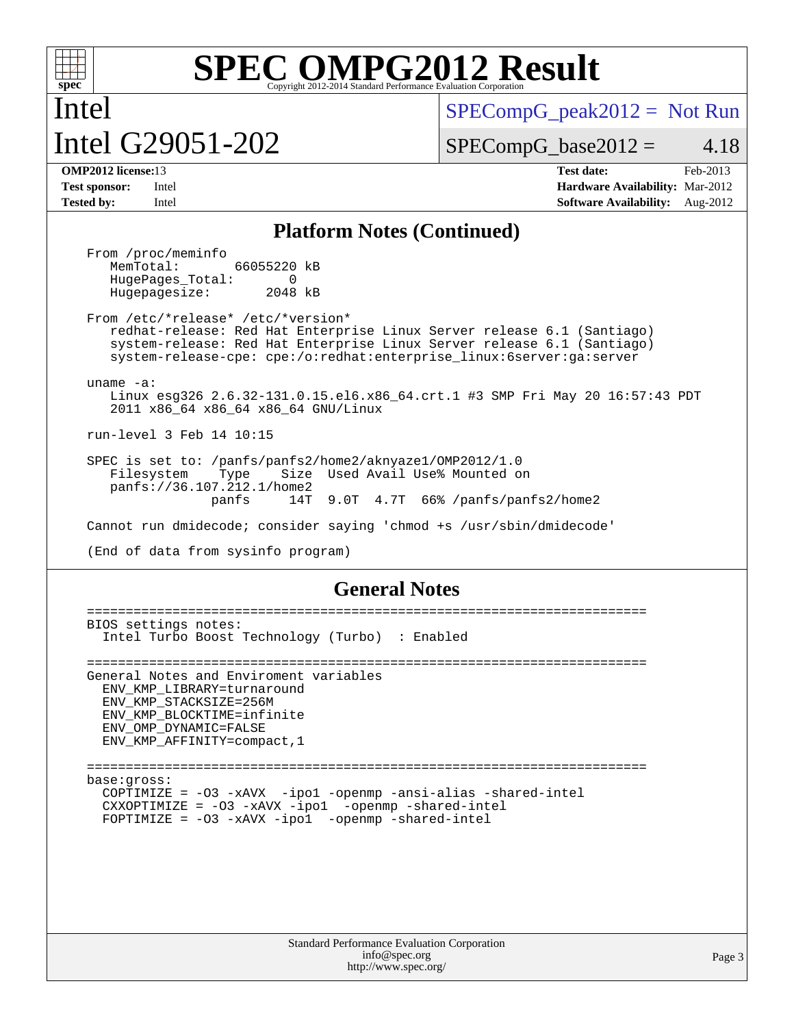

Intel

# **[SPEC OMPG2012 Result](http://www.spec.org/auto/omp2012/Docs/result-fields.html#SPECOMPG2012Result)**

Intel G29051-202

 $SPECompG_peak2012 = Not Run$  $SPECompG_peak2012 = Not Run$ 

 $SPECompG_base2012 = 4.18$  $SPECompG_base2012 = 4.18$ 

**[OMP2012 license:](http://www.spec.org/auto/omp2012/Docs/result-fields.html#OMP2012license)**13 **[Test date:](http://www.spec.org/auto/omp2012/Docs/result-fields.html#Testdate)** Feb-2013 **[Test sponsor:](http://www.spec.org/auto/omp2012/Docs/result-fields.html#Testsponsor)** Intel **[Hardware Availability:](http://www.spec.org/auto/omp2012/Docs/result-fields.html#HardwareAvailability)** Mar-2012 **[Tested by:](http://www.spec.org/auto/omp2012/Docs/result-fields.html#Testedby)** Intel **[Software Availability:](http://www.spec.org/auto/omp2012/Docs/result-fields.html#SoftwareAvailability)** Aug-2012

### **[Platform Notes \(Continued\)](http://www.spec.org/auto/omp2012/Docs/result-fields.html#PlatformNotes)**

From /proc/meminfo<br>MemTotal: 66055220 kB HugePages\_Total: 0<br>Hugepagesize: 2048 kB Hugepagesize:

 From /etc/\*release\* /etc/\*version\* redhat-release: Red Hat Enterprise Linux Server release 6.1 (Santiago) system-release: Red Hat Enterprise Linux Server release 6.1 (Santiago) system-release-cpe: cpe:/o:redhat:enterprise\_linux:6server:ga:server

uname -a:

 Linux esg326 2.6.32-131.0.15.el6.x86\_64.crt.1 #3 SMP Fri May 20 16:57:43 PDT 2011 x86\_64 x86\_64 x86\_64 GNU/Linux

run-level 3 Feb 14 10:15

 SPEC is set to: /panfs/panfs2/home2/aknyaze1/OMP2012/1.0 Filesystem Type Size Used Avail Use% Mounted on panfs://36.107.212.1/home2 panfs 14T 9.0T 4.7T 66% /panfs/panfs2/home2

Cannot run dmidecode; consider saying 'chmod +s /usr/sbin/dmidecode'

(End of data from sysinfo program)

### **[General Notes](http://www.spec.org/auto/omp2012/Docs/result-fields.html#GeneralNotes)**

 ======================================================================== BIOS settings notes: Intel Turbo Boost Technology (Turbo) : Enabled ======================================================================== General Notes and Enviroment variables ENV\_KMP\_LIBRARY=turnaround ENV\_KMP\_STACKSIZE=256M ENV\_KMP\_BLOCKTIME=infinite ENV\_OMP\_DYNAMIC=FALSE ENV\_KMP\_AFFINITY=compact,1 ======================================================================== base:gross: COPTIMIZE = -O3 -xAVX -ipo1 -openmp -ansi-alias -shared-intel CXXOPTIMIZE = -O3 -xAVX -ipo1 -openmp -shared-intel FOPTIMIZE = -O3 -xAVX -ipo1 -openmp -shared-intel